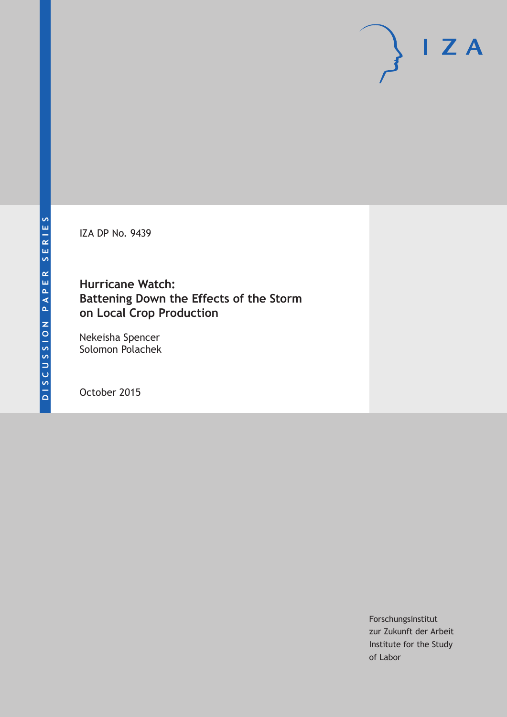IZA DP No. 9439

# **Hurricane Watch: Battening Down the Effects of the Storm on Local Crop Production**

Nekeisha Spencer Solomon Polachek

October 2015

Forschungsinstitut zur Zukunft der Arbeit Institute for the Study of Labor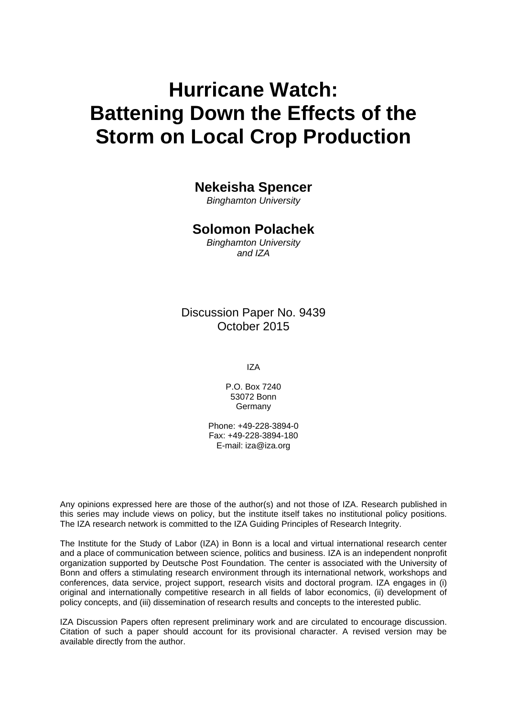# **Hurricane Watch: Battening Down the Effects of the Storm on Local Crop Production**

## **Nekeisha Spencer**

*Binghamton University* 

## **Solomon Polachek**

*Binghamton University and IZA* 

Discussion Paper No. 9439 October 2015

IZA

P.O. Box 7240 53072 Bonn Germany

Phone: +49-228-3894-0 Fax: +49-228-3894-180 E-mail: iza@iza.org

Any opinions expressed here are those of the author(s) and not those of IZA. Research published in this series may include views on policy, but the institute itself takes no institutional policy positions. The IZA research network is committed to the IZA Guiding Principles of Research Integrity.

The Institute for the Study of Labor (IZA) in Bonn is a local and virtual international research center and a place of communication between science, politics and business. IZA is an independent nonprofit organization supported by Deutsche Post Foundation. The center is associated with the University of Bonn and offers a stimulating research environment through its international network, workshops and conferences, data service, project support, research visits and doctoral program. IZA engages in (i) original and internationally competitive research in all fields of labor economics, (ii) development of policy concepts, and (iii) dissemination of research results and concepts to the interested public.

IZA Discussion Papers often represent preliminary work and are circulated to encourage discussion. Citation of such a paper should account for its provisional character. A revised version may be available directly from the author.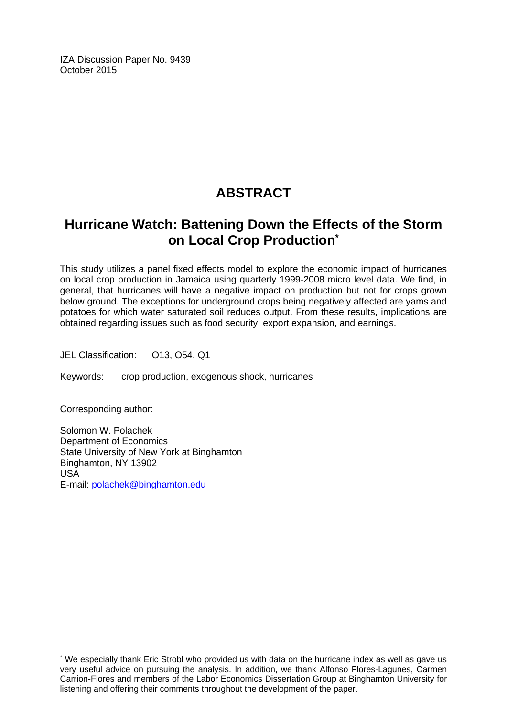IZA Discussion Paper No. 9439 October 2015

# **ABSTRACT**

# **Hurricane Watch: Battening Down the Effects of the Storm on Local Crop Production\***

This study utilizes a panel fixed effects model to explore the economic impact of hurricanes on local crop production in Jamaica using quarterly 1999-2008 micro level data. We find, in general, that hurricanes will have a negative impact on production but not for crops grown below ground. The exceptions for underground crops being negatively affected are yams and potatoes for which water saturated soil reduces output. From these results, implications are obtained regarding issues such as food security, export expansion, and earnings.

JEL Classification: O13, O54, Q1

Keywords: crop production, exogenous shock, hurricanes

Corresponding author:

 $\overline{\phantom{a}}$ 

Solomon W. Polachek Department of Economics State University of New York at Binghamton Binghamton, NY 13902 USA E-mail: polachek@binghamton.edu

<sup>\*</sup> We especially thank Eric Strobl who provided us with data on the hurricane index as well as gave us very useful advice on pursuing the analysis. In addition, we thank Alfonso Flores-Lagunes, Carmen Carrion-Flores and members of the Labor Economics Dissertation Group at Binghamton University for listening and offering their comments throughout the development of the paper.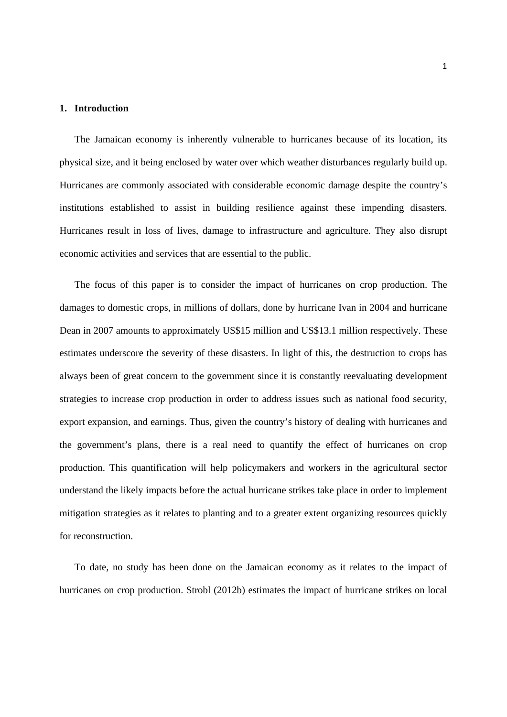#### **1. Introduction**

The Jamaican economy is inherently vulnerable to hurricanes because of its location, its physical size, and it being enclosed by water over which weather disturbances regularly build up. Hurricanes are commonly associated with considerable economic damage despite the country's institutions established to assist in building resilience against these impending disasters. Hurricanes result in loss of lives, damage to infrastructure and agriculture. They also disrupt economic activities and services that are essential to the public.

The focus of this paper is to consider the impact of hurricanes on crop production. The damages to domestic crops, in millions of dollars, done by hurricane Ivan in 2004 and hurricane Dean in 2007 amounts to approximately US\$15 million and US\$13.1 million respectively. These estimates underscore the severity of these disasters. In light of this, the destruction to crops has always been of great concern to the government since it is constantly reevaluating development strategies to increase crop production in order to address issues such as national food security, export expansion, and earnings. Thus, given the country's history of dealing with hurricanes and the government's plans, there is a real need to quantify the effect of hurricanes on crop production. This quantification will help policymakers and workers in the agricultural sector understand the likely impacts before the actual hurricane strikes take place in order to implement mitigation strategies as it relates to planting and to a greater extent organizing resources quickly for reconstruction.

To date, no study has been done on the Jamaican economy as it relates to the impact of hurricanes on crop production. Strobl (2012b) estimates the impact of hurricane strikes on local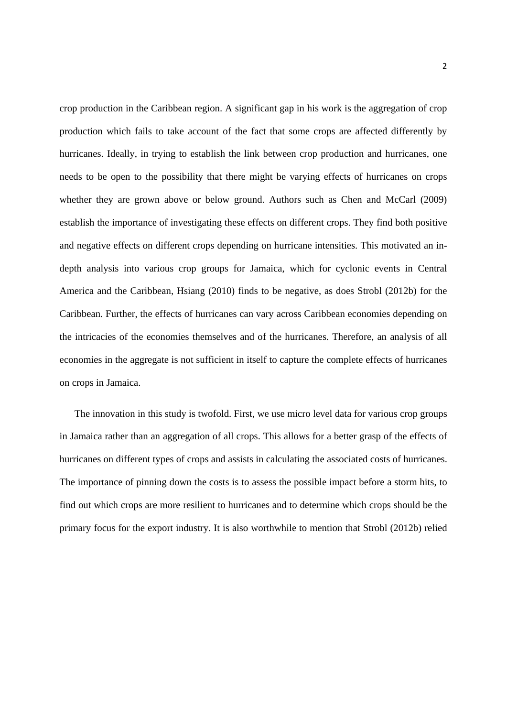crop production in the Caribbean region. A significant gap in his work is the aggregation of crop production which fails to take account of the fact that some crops are affected differently by hurricanes. Ideally, in trying to establish the link between crop production and hurricanes, one needs to be open to the possibility that there might be varying effects of hurricanes on crops whether they are grown above or below ground. Authors such as Chen and McCarl (2009) establish the importance of investigating these effects on different crops. They find both positive and negative effects on different crops depending on hurricane intensities. This motivated an indepth analysis into various crop groups for Jamaica, which for cyclonic events in Central America and the Caribbean, Hsiang (2010) finds to be negative, as does Strobl (2012b) for the Caribbean. Further, the effects of hurricanes can vary across Caribbean economies depending on the intricacies of the economies themselves and of the hurricanes. Therefore, an analysis of all economies in the aggregate is not sufficient in itself to capture the complete effects of hurricanes on crops in Jamaica.

The innovation in this study is twofold. First, we use micro level data for various crop groups in Jamaica rather than an aggregation of all crops. This allows for a better grasp of the effects of hurricanes on different types of crops and assists in calculating the associated costs of hurricanes. The importance of pinning down the costs is to assess the possible impact before a storm hits, to find out which crops are more resilient to hurricanes and to determine which crops should be the primary focus for the export industry. It is also worthwhile to mention that Strobl (2012b) relied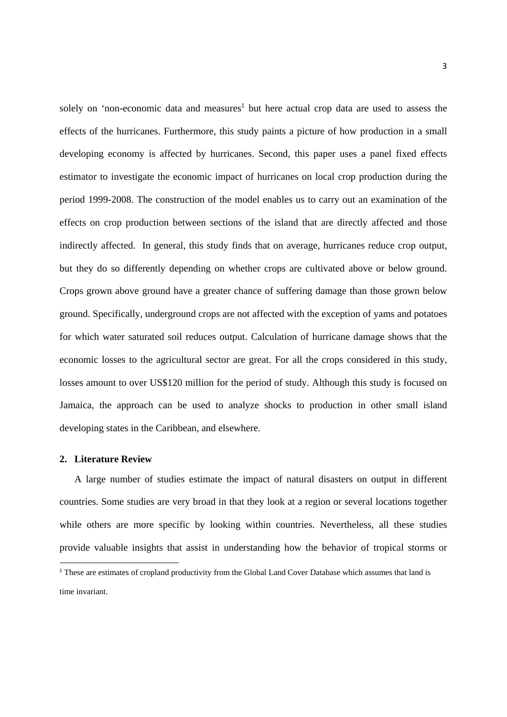solely on 'non-economic data and measures<sup>1</sup> but here actual crop data are used to assess the effects of the hurricanes. Furthermore, this study paints a picture of how production in a small developing economy is affected by hurricanes. Second, this paper uses a panel fixed effects estimator to investigate the economic impact of hurricanes on local crop production during the period 1999-2008. The construction of the model enables us to carry out an examination of the effects on crop production between sections of the island that are directly affected and those indirectly affected. In general, this study finds that on average, hurricanes reduce crop output, but they do so differently depending on whether crops are cultivated above or below ground. Crops grown above ground have a greater chance of suffering damage than those grown below ground. Specifically, underground crops are not affected with the exception of yams and potatoes for which water saturated soil reduces output. Calculation of hurricane damage shows that the economic losses to the agricultural sector are great. For all the crops considered in this study, losses amount to over US\$120 million for the period of study. Although this study is focused on Jamaica, the approach can be used to analyze shocks to production in other small island developing states in the Caribbean, and elsewhere.

#### **2. Literature Review**

A large number of studies estimate the impact of natural disasters on output in different countries. Some studies are very broad in that they look at a region or several locations together while others are more specific by looking within countries. Nevertheless, all these studies provide valuable insights that assist in understanding how the behavior of tropical storms or

<sup>&</sup>lt;sup>1</sup> These are estimates of cropland productivity from the Global Land Cover Database which assumes that land is time invariant.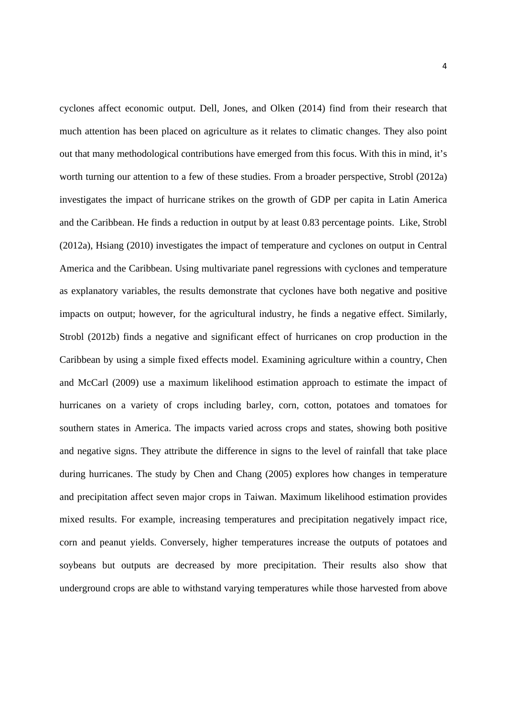cyclones affect economic output. Dell, Jones, and Olken (2014) find from their research that much attention has been placed on agriculture as it relates to climatic changes. They also point out that many methodological contributions have emerged from this focus. With this in mind, it's worth turning our attention to a few of these studies. From a broader perspective, Strobl (2012a) investigates the impact of hurricane strikes on the growth of GDP per capita in Latin America and the Caribbean. He finds a reduction in output by at least 0.83 percentage points. Like, Strobl (2012a), Hsiang (2010) investigates the impact of temperature and cyclones on output in Central America and the Caribbean. Using multivariate panel regressions with cyclones and temperature as explanatory variables, the results demonstrate that cyclones have both negative and positive impacts on output; however, for the agricultural industry, he finds a negative effect. Similarly, Strobl (2012b) finds a negative and significant effect of hurricanes on crop production in the Caribbean by using a simple fixed effects model. Examining agriculture within a country, Chen and McCarl (2009) use a maximum likelihood estimation approach to estimate the impact of hurricanes on a variety of crops including barley, corn, cotton, potatoes and tomatoes for southern states in America. The impacts varied across crops and states, showing both positive and negative signs. They attribute the difference in signs to the level of rainfall that take place during hurricanes. The study by Chen and Chang (2005) explores how changes in temperature and precipitation affect seven major crops in Taiwan. Maximum likelihood estimation provides mixed results. For example, increasing temperatures and precipitation negatively impact rice, corn and peanut yields. Conversely, higher temperatures increase the outputs of potatoes and soybeans but outputs are decreased by more precipitation. Their results also show that underground crops are able to withstand varying temperatures while those harvested from above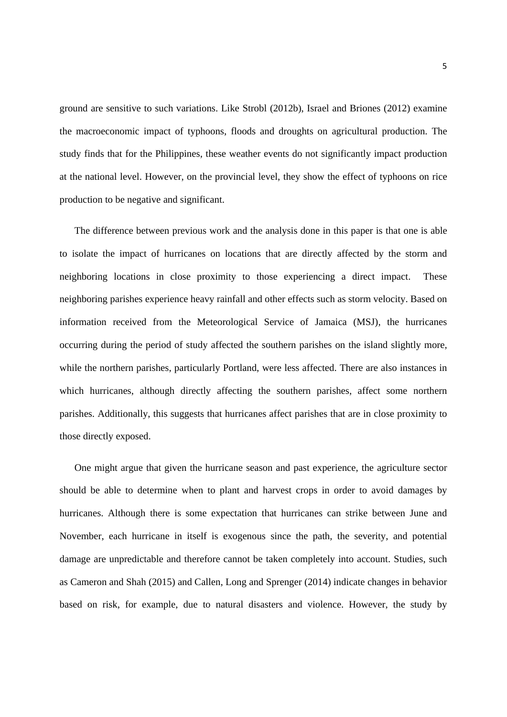ground are sensitive to such variations. Like Strobl (2012b), Israel and Briones (2012) examine the macroeconomic impact of typhoons, floods and droughts on agricultural production. The study finds that for the Philippines, these weather events do not significantly impact production at the national level. However, on the provincial level, they show the effect of typhoons on rice production to be negative and significant.

The difference between previous work and the analysis done in this paper is that one is able to isolate the impact of hurricanes on locations that are directly affected by the storm and neighboring locations in close proximity to those experiencing a direct impact. These neighboring parishes experience heavy rainfall and other effects such as storm velocity. Based on information received from the Meteorological Service of Jamaica (MSJ), the hurricanes occurring during the period of study affected the southern parishes on the island slightly more, while the northern parishes, particularly Portland, were less affected. There are also instances in which hurricanes, although directly affecting the southern parishes, affect some northern parishes. Additionally, this suggests that hurricanes affect parishes that are in close proximity to those directly exposed.

One might argue that given the hurricane season and past experience, the agriculture sector should be able to determine when to plant and harvest crops in order to avoid damages by hurricanes. Although there is some expectation that hurricanes can strike between June and November, each hurricane in itself is exogenous since the path, the severity, and potential damage are unpredictable and therefore cannot be taken completely into account. Studies, such as Cameron and Shah (2015) and Callen, Long and Sprenger (2014) indicate changes in behavior based on risk, for example, due to natural disasters and violence. However, the study by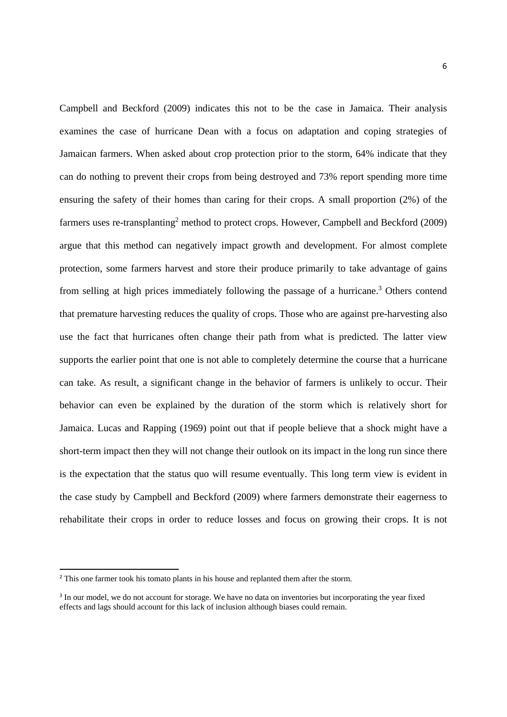Campbell and Beckford (2009) indicates this not to be the case in Jamaica. Their analysis examines the case of hurricane Dean with a focus on adaptation and coping strategies of Jamaican farmers. When asked about crop protection prior to the storm, 64% indicate that they can do nothing to prevent their crops from being destroyed and 73% report spending more time ensuring the safety of their homes than caring for their crops. A small proportion (2%) of the farmers uses re-transplanting<sup>2</sup> method to protect crops. However, Campbell and Beckford (2009) argue that this method can negatively impact growth and development. For almost complete protection, some farmers harvest and store their produce primarily to take advantage of gains from selling at high prices immediately following the passage of a hurricane.<sup>3</sup> Others contend that premature harvesting reduces the quality of crops. Those who are against pre-harvesting also use the fact that hurricanes often change their path from what is predicted. The latter view supports the earlier point that one is not able to completely determine the course that a hurricane can take. As result, a significant change in the behavior of farmers is unlikely to occur. Their behavior can even be explained by the duration of the storm which is relatively short for Jamaica. Lucas and Rapping (1969) point out that if people believe that a shock might have a short-term impact then they will not change their outlook on its impact in the long run since there is the expectation that the status quo will resume eventually. This long term view is evident in the case study by Campbell and Beckford (2009) where farmers demonstrate their eagerness to rehabilitate their crops in order to reduce losses and focus on growing their crops. It is not

<sup>&</sup>lt;sup>2</sup> This one farmer took his tomato plants in his house and replanted them after the storm.

<sup>3</sup> In our model, we do not account for storage. We have no data on inventories but incorporating the year fixed effects and lags should account for this lack of inclusion although biases could remain.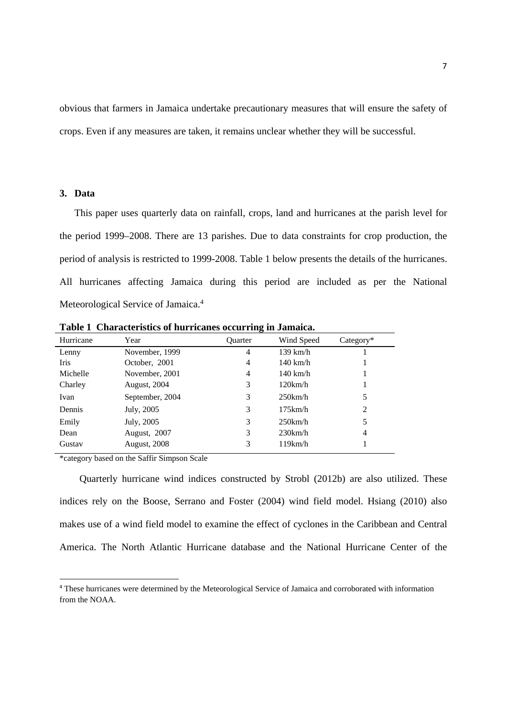obvious that farmers in Jamaica undertake precautionary measures that will ensure the safety of crops. Even if any measures are taken, it remains unclear whether they will be successful.

#### **3. Data**

This paper uses quarterly data on rainfall, crops, land and hurricanes at the parish level for the period 1999–2008. There are 13 parishes. Due to data constraints for crop production, the period of analysis is restricted to 1999-2008. Table 1 below presents the details of the hurricanes. All hurricanes affecting Jamaica during this period are included as per the National Meteorological Service of Jamaica.<sup>4</sup>

| Hurricane | Year            | <b>Ouarter</b> | Wind Speed         | $Category*$    |
|-----------|-----------------|----------------|--------------------|----------------|
| Lenny     | November, 1999  | 4              | 139 km/h           |                |
| Iris      | October, 2001   | 4              | $140 \text{ km/h}$ |                |
| Michelle  | November, 2001  | 4              | $140 \text{ km/h}$ |                |
| Charley   | August, 2004    | 3              | 120km/h            |                |
| Ivan      | September, 2004 | 3              | $250$ km/h         | 5              |
| Dennis    | July, 2005      | 3              | 175km/h            | 2              |
| Emily     | July, 2005      | 3              | $250$ km/h         | 5              |
| Dean      | August, 2007    | 3              | 230km/h            | $\overline{4}$ |
| Gustav    | August, 2008    | 3              | 119km/h            |                |

**Table 1 Characteristics of hurricanes occurring in Jamaica.** 

\*category based on the Saffir Simpson Scale

 Quarterly hurricane wind indices constructed by Strobl (2012b) are also utilized. These indices rely on the Boose, Serrano and Foster (2004) wind field model. Hsiang (2010) also makes use of a wind field model to examine the effect of cyclones in the Caribbean and Central America. The North Atlantic Hurricane database and the National Hurricane Center of the

<sup>4</sup> These hurricanes were determined by the Meteorological Service of Jamaica and corroborated with information from the NOAA.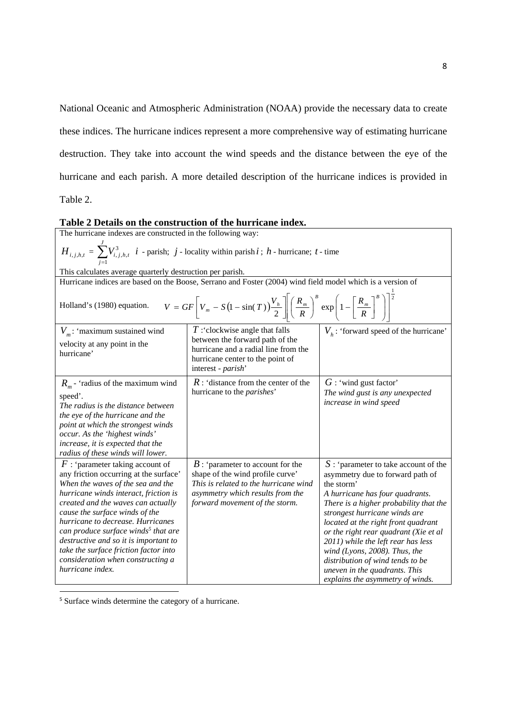National Oceanic and Atmospheric Administration (NOAA) provide the necessary data to create these indices. The hurricane indices represent a more comprehensive way of estimating hurricane destruction. They take into account the wind speeds and the distance between the eye of the hurricane and each parish. A more detailed description of the hurricane indices is provided in Table 2.

**Table 2 Details on the construction of the hurricane index.**  The hurricane indexes are constructed in the following way:  $H_{i, j, h, t} = \sum_{j=1}^{J}$ *j*  $V^3_{i,j,h,t}$ 1  $\int_{i,j,h,t}^{3} i$  - parish;  $j$  - locality within parish  $i$ ;  $h$  - hurricane;  $t$  - time This calculates average quarterly destruction per parish. Hurricane indices are based on the Boose, Serrano and Foster (2004) wind field model which is a version of Holland's (1980) equation.  $V = GF\left[V_m - S(1 - \sin(T))\frac{V_h}{r}\right] \left(\frac{R_m}{r}\right)^B \exp\left(1 - \left[\frac{R_m}{r}\right]^B\right)^2$ 1  $\exp$  1  $(1-\sin(T))\frac{\lambda}{2}\left\|\left(\frac{R_m}{R}\right)\right\| \exp\left[1-\left[\frac{R_m}{R}\right]\right\|$  $\frac{1}{2}$ J  $\mathsf{I}$  $\mathsf{I}$ L  $\mathsf{I}$  $\overline{\phantom{a}}$  $\overline{\phantom{a}}$ )  $\backslash$ I I  $\overline{\phantom{a}}$ ſ  $\left(\frac{R_m}{R}\right)^n$  exp $\left(1-\left\lfloor\frac{R_m}{R}\right\rfloor\right)$  $\overline{\phantom{0}}$ ſ  $V_m - S(1 - \sin(T)) \frac{V_h}{2}$  $=GF\left[V_m - S(1-\sin(T))\frac{V_h}{r}\right]\left(\frac{R_m}{r}\right)^B \exp\left(1-\left[\frac{R_m}{r}\right]^B\right)$ *m B*  $\binom{m}{m}$  -  $S(1-\sin(T))\frac{Y_h}{2}$   $\left\| \left( \frac{R_m}{R} \right) \exp \left( 1 - \left( \frac{R_h}{R} \right) \right) \right\|$ *R R*  $V = GF \bigg| V_m - S(1 - \sin(T)) \frac{V_h}{I} \bigg| \bigg( \frac{R}{I_h} \bigg)$ *V<sub>m</sub>*: 'maximum sustained wind velocity at any point in the hurricane' *T* :'clockwise angle that falls between the forward path of the hurricane and a radial line from the hurricane center to the point of interest - *parish*'  $V<sub>h</sub>$ : 'forward speed of the hurricane'  $R_m$  - 'radius of the maximum wind speed'. *The radius is the distance between the eye of the hurricane and the point at which the strongest winds occur. As the 'highest winds' increase, it is expected that the radius of these winds will lower. R* : 'distance from the center of the hurricane to the *parishes*' *G* : 'wind gust factor' *The wind gust is any unexpected increase in wind speed F* : 'parameter taking account of any friction occurring at the surface' *When the waves of the sea and the hurricane winds interact, friction is created and the waves can actually cause the surface winds of the hurricane to decrease. Hurricanes can produce surface winds<sup>5</sup> that are destructive and so it is important to take the surface friction factor into consideration when constructing a hurricane index. B* : 'parameter to account for the shape of the wind profile curve' *This is related to the hurricane wind asymmetry which results from the forward movement of the storm. S* : 'parameter to take account of the asymmetry due to forward path of the storm' *A hurricane has four quadrants. There is a higher probability that the strongest hurricane winds are located at the right front quadrant or the right rear quadrant (Xie et al 2011) while the left rear has less wind (Lyons, 2008). Thus, the distribution of wind tends to be uneven in the quadrants. This explains the asymmetry of winds.*

<sup>5</sup> Surface winds determine the category of a hurricane.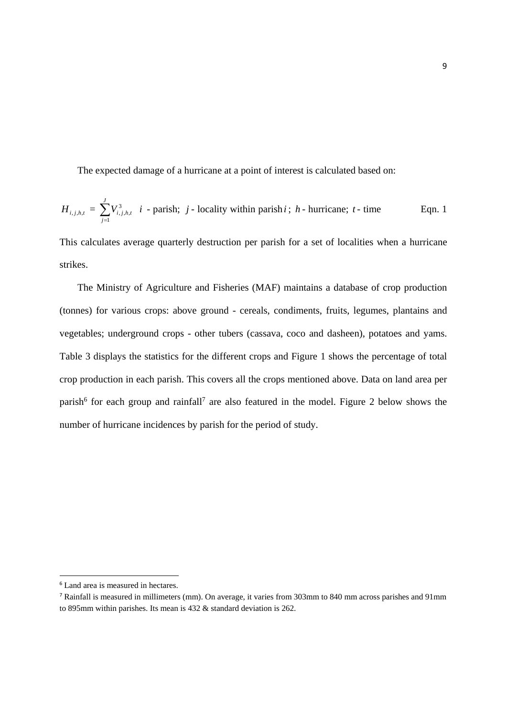The expected damage of a hurricane at a point of interest is calculated based on:

$$
H_{i,j,h,t} = \sum_{j=1}^{J} V_{i,j,h,t}^{3} \quad i \text{ - parity, } j \text{- locality within parish } i \text{ ; } h \text{ - hurricane; } t \text{- time}
$$
 Eqn. 1

This calculates average quarterly destruction per parish for a set of localities when a hurricane strikes.

 The Ministry of Agriculture and Fisheries (MAF) maintains a database of crop production (tonnes) for various crops: above ground - cereals, condiments, fruits, legumes, plantains and vegetables; underground crops - other tubers (cassava, coco and dasheen), potatoes and yams. Table 3 displays the statistics for the different crops and Figure 1 shows the percentage of total crop production in each parish. This covers all the crops mentioned above. Data on land area per parish<sup>6</sup> for each group and rainfall<sup>7</sup> are also featured in the model. Figure 2 below shows the number of hurricane incidences by parish for the period of study.

 <sup>6</sup> Land area is measured in hectares.

<sup>7</sup> Rainfall is measured in millimeters (mm). On average, it varies from 303mm to 840 mm across parishes and 91mm to 895mm within parishes. Its mean is 432 & standard deviation is 262.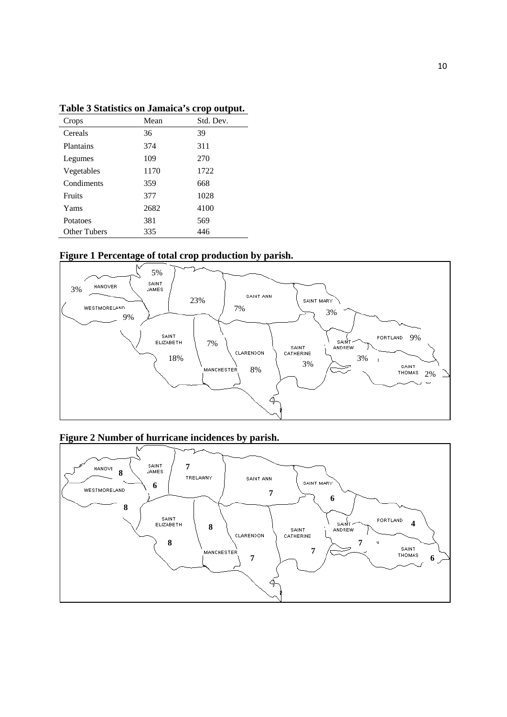| Crops               | Mean | Std. Dev. |
|---------------------|------|-----------|
| Cereals             | 36   | 39        |
| Plantains           | 374  | 311       |
| Legumes             | 109  | 270       |
| Vegetables          | 1170 | 1722      |
| Condiments          | 359  | 668       |
| <b>Fruits</b>       | 377  | 1028      |
| Yams                | 2682 | 4100      |
| Potatoes            | 381  | 569       |
| <b>Other Tubers</b> | 335  | 446       |

**Table 3 Statistics on Jamaica's crop output.** 







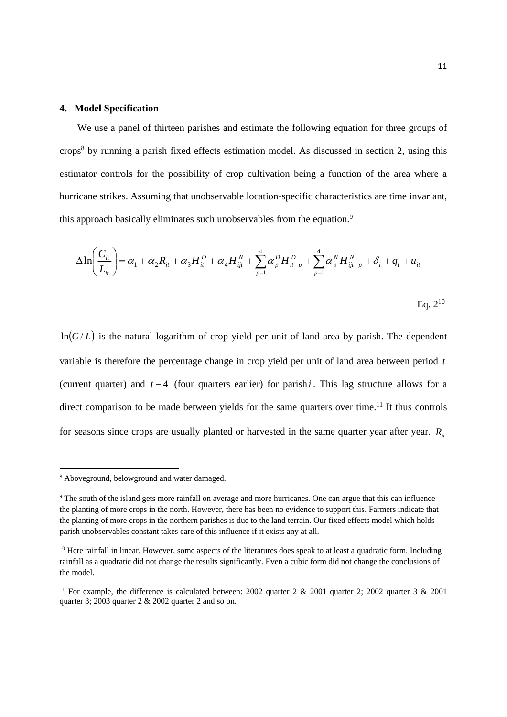#### **4. Model Specification**

 We use a panel of thirteen parishes and estimate the following equation for three groups of crops<sup>8</sup> by running a parish fixed effects estimation model. As discussed in section 2, using this estimator controls for the possibility of crop cultivation being a function of the area where a hurricane strikes. Assuming that unobservable location-specific characteristics are time invariant, this approach basically eliminates such unobservables from the equation.<sup>9</sup>

$$
\Delta \ln \left( \frac{C_{it}}{L_{it}} \right) = \alpha_1 + \alpha_2 R_{it} + \alpha_3 H_{it}^D + \alpha_4 H_{ijt}^N + \sum_{p=1}^4 \alpha_p^D H_{it-p}^D + \sum_{p=1}^4 \alpha_p^N H_{ijt-p}^N + \delta_i + q_t + u_{it}
$$

 $Eq. 2<sup>10</sup>$ 

 $ln(C/L)$  is the natural logarithm of crop yield per unit of land area by parish. The dependent variable is therefore the percentage change in crop yield per unit of land area between period *t* (current quarter) and  $t - 4$  (four quarters earlier) for parish *i*. This lag structure allows for a direct comparison to be made between yields for the same quarters over time.<sup>11</sup> It thus controls for seasons since crops are usually planted or harvested in the same quarter year after year.  $R_{it}$ 

<sup>8</sup> Aboveground, belowground and water damaged.

<sup>&</sup>lt;sup>9</sup> The south of the island gets more rainfall on average and more hurricanes. One can argue that this can influence the planting of more crops in the north. However, there has been no evidence to support this. Farmers indicate that the planting of more crops in the northern parishes is due to the land terrain. Our fixed effects model which holds parish unobservables constant takes care of this influence if it exists any at all.

 $10$  Here rainfall in linear. However, some aspects of the literatures does speak to at least a quadratic form. Including rainfall as a quadratic did not change the results significantly. Even a cubic form did not change the conclusions of the model.

<sup>&</sup>lt;sup>11</sup> For example, the difference is calculated between: 2002 quarter 2 & 2001 quarter 2; 2002 quarter 3 & 2001 quarter 3;  $2003$  quarter 2 & 2002 quarter 2 and so on.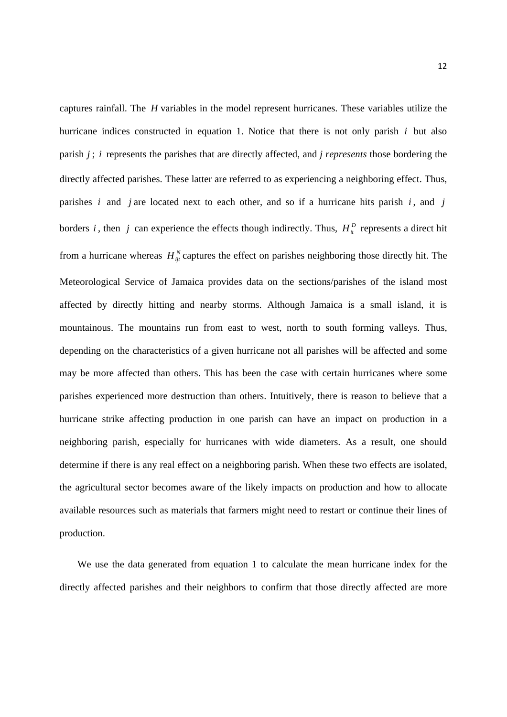captures rainfall. The *H* variables in the model represent hurricanes. These variables utilize the hurricane indices constructed in equation 1. Notice that there is not only parish *i* but also parish *j* ; *i* represents the parishes that are directly affected, and *j represents* those bordering the directly affected parishes. These latter are referred to as experiencing a neighboring effect. Thus, parishes *i* and *j* are located next to each other, and so if a hurricane hits parish *i* , and *j* borders *i*, then *j* can experience the effects though indirectly. Thus,  $H^D_{ii}$  represents a direct hit from a hurricane whereas  $H_{ii}^N$  captures the effect on parishes neighboring those directly hit. The Meteorological Service of Jamaica provides data on the sections/parishes of the island most affected by directly hitting and nearby storms. Although Jamaica is a small island, it is mountainous. The mountains run from east to west, north to south forming valleys. Thus, depending on the characteristics of a given hurricane not all parishes will be affected and some may be more affected than others. This has been the case with certain hurricanes where some parishes experienced more destruction than others. Intuitively, there is reason to believe that a hurricane strike affecting production in one parish can have an impact on production in a neighboring parish, especially for hurricanes with wide diameters. As a result, one should determine if there is any real effect on a neighboring parish. When these two effects are isolated, the agricultural sector becomes aware of the likely impacts on production and how to allocate available resources such as materials that farmers might need to restart or continue their lines of production.

We use the data generated from equation 1 to calculate the mean hurricane index for the directly affected parishes and their neighbors to confirm that those directly affected are more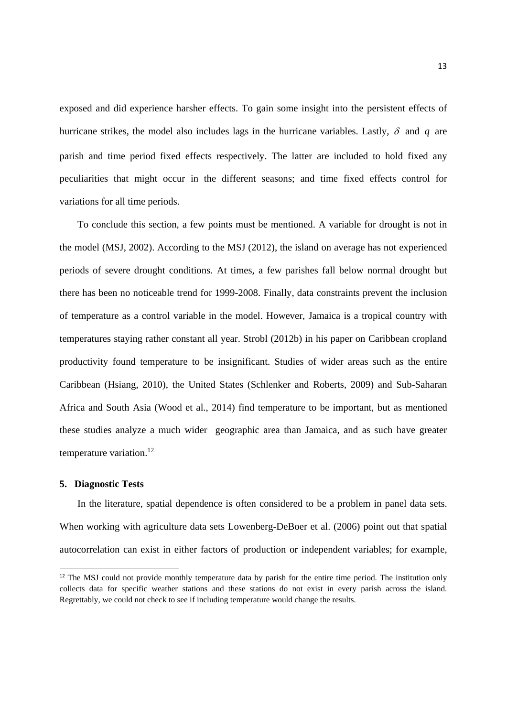exposed and did experience harsher effects. To gain some insight into the persistent effects of hurricane strikes, the model also includes lags in the hurricane variables. Lastly,  $\delta$  and  $q$  are parish and time period fixed effects respectively. The latter are included to hold fixed any peculiarities that might occur in the different seasons; and time fixed effects control for variations for all time periods.

 To conclude this section, a few points must be mentioned. A variable for drought is not in the model (MSJ, 2002). According to the MSJ (2012), the island on average has not experienced periods of severe drought conditions. At times, a few parishes fall below normal drought but there has been no noticeable trend for 1999-2008. Finally, data constraints prevent the inclusion of temperature as a control variable in the model. However, Jamaica is a tropical country with temperatures staying rather constant all year. Strobl (2012b) in his paper on Caribbean cropland productivity found temperature to be insignificant. Studies of wider areas such as the entire Caribbean (Hsiang, 2010), the United States (Schlenker and Roberts, 2009) and Sub-Saharan Africa and South Asia (Wood et al., 2014) find temperature to be important, but as mentioned these studies analyze a much wider geographic area than Jamaica, and as such have greater temperature variation.<sup>12</sup>

#### **5. Diagnostic Tests**

 In the literature, spatial dependence is often considered to be a problem in panel data sets. When working with agriculture data sets Lowenberg-DeBoer et al. (2006) point out that spatial autocorrelation can exist in either factors of production or independent variables; for example,

 $12$  The MSJ could not provide monthly temperature data by parish for the entire time period. The institution only collects data for specific weather stations and these stations do not exist in every parish across the island. Regrettably, we could not check to see if including temperature would change the results.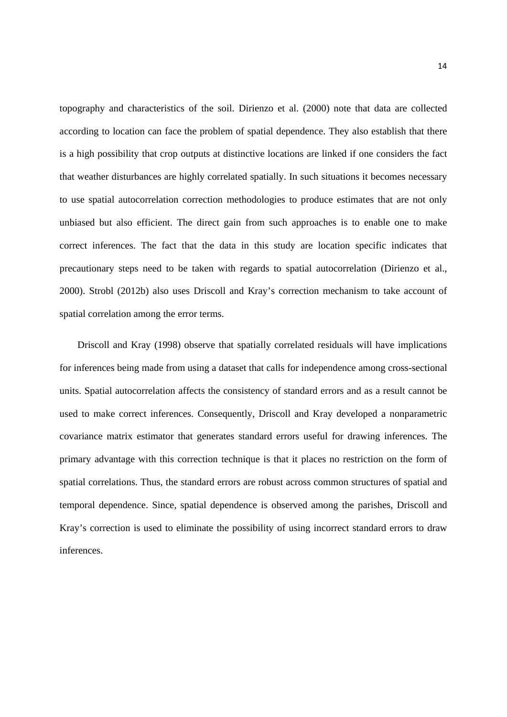topography and characteristics of the soil. Dirienzo et al. (2000) note that data are collected according to location can face the problem of spatial dependence. They also establish that there is a high possibility that crop outputs at distinctive locations are linked if one considers the fact that weather disturbances are highly correlated spatially. In such situations it becomes necessary to use spatial autocorrelation correction methodologies to produce estimates that are not only unbiased but also efficient. The direct gain from such approaches is to enable one to make correct inferences. The fact that the data in this study are location specific indicates that precautionary steps need to be taken with regards to spatial autocorrelation (Dirienzo et al., 2000). Strobl (2012b) also uses Driscoll and Kray's correction mechanism to take account of spatial correlation among the error terms.

 Driscoll and Kray (1998) observe that spatially correlated residuals will have implications for inferences being made from using a dataset that calls for independence among cross-sectional units. Spatial autocorrelation affects the consistency of standard errors and as a result cannot be used to make correct inferences. Consequently, Driscoll and Kray developed a nonparametric covariance matrix estimator that generates standard errors useful for drawing inferences. The primary advantage with this correction technique is that it places no restriction on the form of spatial correlations. Thus, the standard errors are robust across common structures of spatial and temporal dependence. Since, spatial dependence is observed among the parishes, Driscoll and Kray's correction is used to eliminate the possibility of using incorrect standard errors to draw inferences.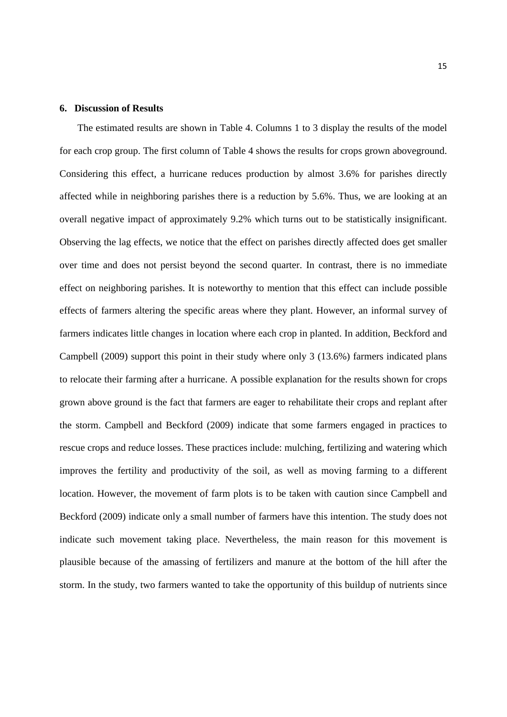#### **6. Discussion of Results**

 The estimated results are shown in Table 4. Columns 1 to 3 display the results of the model for each crop group. The first column of Table 4 shows the results for crops grown aboveground. Considering this effect, a hurricane reduces production by almost 3.6% for parishes directly affected while in neighboring parishes there is a reduction by 5.6%. Thus, we are looking at an overall negative impact of approximately 9.2% which turns out to be statistically insignificant. Observing the lag effects, we notice that the effect on parishes directly affected does get smaller over time and does not persist beyond the second quarter. In contrast, there is no immediate effect on neighboring parishes. It is noteworthy to mention that this effect can include possible effects of farmers altering the specific areas where they plant. However, an informal survey of farmers indicates little changes in location where each crop in planted. In addition, Beckford and Campbell (2009) support this point in their study where only 3 (13.6%) farmers indicated plans to relocate their farming after a hurricane. A possible explanation for the results shown for crops grown above ground is the fact that farmers are eager to rehabilitate their crops and replant after the storm. Campbell and Beckford (2009) indicate that some farmers engaged in practices to rescue crops and reduce losses. These practices include: mulching, fertilizing and watering which improves the fertility and productivity of the soil, as well as moving farming to a different location. However, the movement of farm plots is to be taken with caution since Campbell and Beckford (2009) indicate only a small number of farmers have this intention. The study does not indicate such movement taking place. Nevertheless, the main reason for this movement is plausible because of the amassing of fertilizers and manure at the bottom of the hill after the storm. In the study, two farmers wanted to take the opportunity of this buildup of nutrients since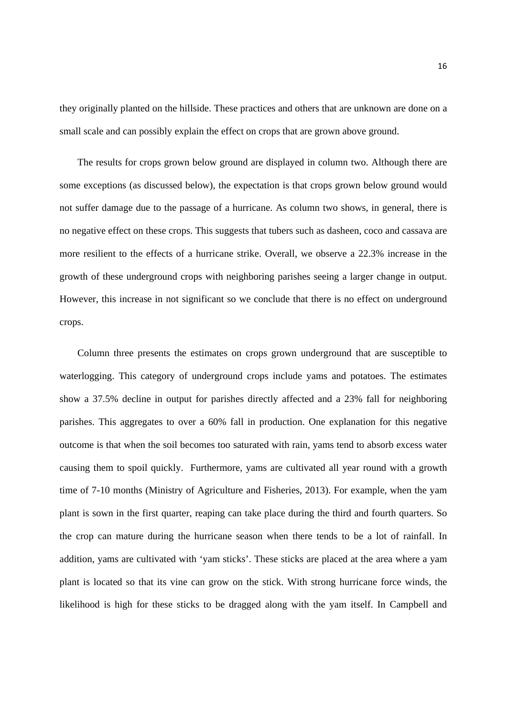they originally planted on the hillside. These practices and others that are unknown are done on a small scale and can possibly explain the effect on crops that are grown above ground.

 The results for crops grown below ground are displayed in column two. Although there are some exceptions (as discussed below), the expectation is that crops grown below ground would not suffer damage due to the passage of a hurricane. As column two shows, in general, there is no negative effect on these crops. This suggests that tubers such as dasheen, coco and cassava are more resilient to the effects of a hurricane strike. Overall, we observe a 22.3% increase in the growth of these underground crops with neighboring parishes seeing a larger change in output. However, this increase in not significant so we conclude that there is no effect on underground crops.

 Column three presents the estimates on crops grown underground that are susceptible to waterlogging. This category of underground crops include yams and potatoes. The estimates show a 37.5% decline in output for parishes directly affected and a 23% fall for neighboring parishes. This aggregates to over a 60% fall in production. One explanation for this negative outcome is that when the soil becomes too saturated with rain, yams tend to absorb excess water causing them to spoil quickly. Furthermore, yams are cultivated all year round with a growth time of 7-10 months (Ministry of Agriculture and Fisheries, 2013). For example, when the yam plant is sown in the first quarter, reaping can take place during the third and fourth quarters. So the crop can mature during the hurricane season when there tends to be a lot of rainfall. In addition, yams are cultivated with 'yam sticks'. These sticks are placed at the area where a yam plant is located so that its vine can grow on the stick. With strong hurricane force winds, the likelihood is high for these sticks to be dragged along with the yam itself. In Campbell and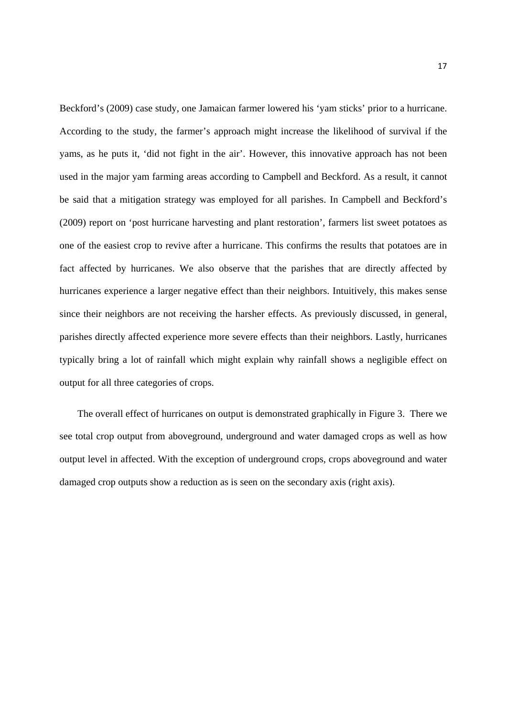Beckford's (2009) case study, one Jamaican farmer lowered his 'yam sticks' prior to a hurricane. According to the study, the farmer's approach might increase the likelihood of survival if the yams, as he puts it, 'did not fight in the air'. However, this innovative approach has not been used in the major yam farming areas according to Campbell and Beckford. As a result, it cannot be said that a mitigation strategy was employed for all parishes. In Campbell and Beckford's (2009) report on 'post hurricane harvesting and plant restoration', farmers list sweet potatoes as one of the easiest crop to revive after a hurricane. This confirms the results that potatoes are in fact affected by hurricanes. We also observe that the parishes that are directly affected by hurricanes experience a larger negative effect than their neighbors. Intuitively, this makes sense since their neighbors are not receiving the harsher effects. As previously discussed, in general, parishes directly affected experience more severe effects than their neighbors. Lastly, hurricanes typically bring a lot of rainfall which might explain why rainfall shows a negligible effect on output for all three categories of crops.

 The overall effect of hurricanes on output is demonstrated graphically in Figure 3. There we see total crop output from aboveground, underground and water damaged crops as well as how output level in affected. With the exception of underground crops, crops aboveground and water damaged crop outputs show a reduction as is seen on the secondary axis (right axis).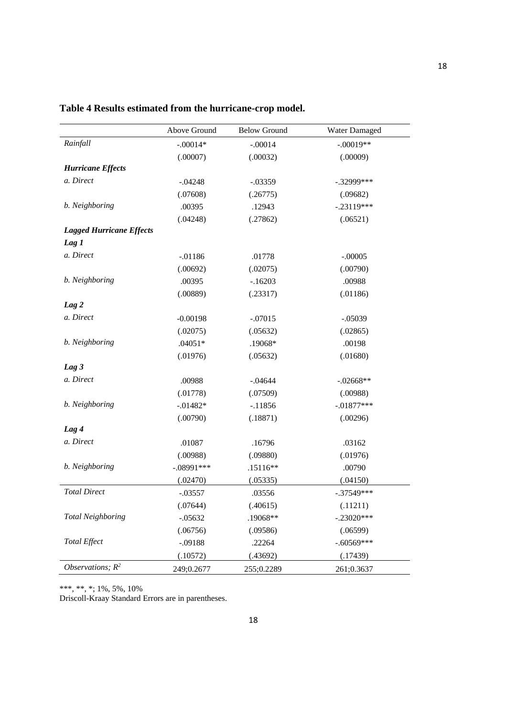|                                 | Above Ground | <b>Below Ground</b> | Water Damaged |
|---------------------------------|--------------|---------------------|---------------|
| Rainfall                        | $-.00014*$   | $-.00014$           | $-.00019**$   |
|                                 | (.00007)     | (.00032)            | (.00009)      |
| <b>Hurricane Effects</b>        |              |                     |               |
| a. Direct                       | $-.04248$    | $-.03359$           | $-.32999$ *** |
|                                 | (.07608)     | (.26775)            | (.09682)      |
| b. Neighboring                  | .00395       | .12943              | $-.23119***$  |
|                                 | (.04248)     | (.27862)            | (.06521)      |
| <b>Lagged Hurricane Effects</b> |              |                     |               |
| Lag 1                           |              |                     |               |
| a. Direct                       | $-.01186$    | .01778              | $-.00005$     |
|                                 | (.00692)     | (.02075)            | (.00790)      |
| b. Neighboring                  | .00395       | $-.16203$           | .00988        |
|                                 | (.00889)     | (.23317)            | (.01186)      |
| Lag 2                           |              |                     |               |
| a. Direct                       | $-0.00198$   | $-.07015$           | $-.05039$     |
|                                 | (.02075)     | (.05632)            | (.02865)      |
| b. Neighboring                  | $.04051*$    | .19068*             | .00198        |
|                                 | (.01976)     | (.05632)            | (.01680)      |
| Lag <sub>3</sub>                |              |                     |               |
| a. Direct                       | .00988       | $-.04644$           | $-.02668**$   |
|                                 | (.01778)     | (.07509)            | (.00988)      |
| b. Neighboring                  | $-0.01482*$  | $-.11856$           | $-.01877***$  |
|                                 | (.00790)     | (.18871)            | (.00296)      |
| Lag 4                           |              |                     |               |
| a. Direct                       | .01087       | .16796              | .03162        |
|                                 | (.00988)     | (.09880)            | (.01976)      |
| b. Neighboring                  | $-.08991***$ | $.15116**$          | .00790        |
|                                 | (.02470)     | (.05335)            | (.04150)      |
| <b>Total Direct</b>             | $-.03557$    | .03556              | $-.37549***$  |
|                                 | (.07644)     | (.40615)            | (.11211)      |
| <b>Total Neighboring</b>        | $-.05632$    | .19068**            | $-.23020***$  |
|                                 | (.06756)     | (.09586)            | (.06599)      |
| Total Effect                    | $-.09188$    | .22264              | $-.60569***$  |
|                                 | (.10572)     | (.43692)            | (.17439)      |
| Observations; $R^2$             | 249;0.2677   | 255;0.2289          | 261;0.3637    |

### **Table 4 Results estimated from the hurricane-crop model.**

\*\*\*, \*\*, \*; 1%, 5%, 10%

Driscoll-Kraay Standard Errors are in parentheses.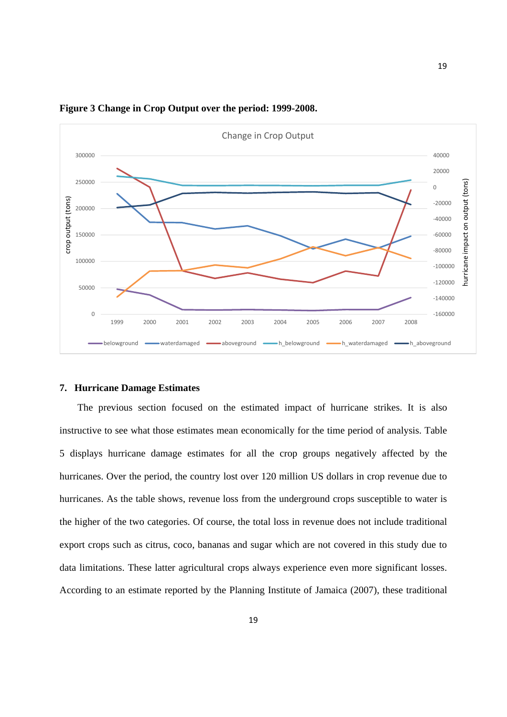

#### **Figure 3 Change in Crop Output over the period: 1999-2008.**

#### **7. Hurricane Damage Estimates**

 The previous section focused on the estimated impact of hurricane strikes. It is also instructive to see what those estimates mean economically for the time period of analysis. Table 5 displays hurricane damage estimates for all the crop groups negatively affected by the hurricanes. Over the period, the country lost over 120 million US dollars in crop revenue due to hurricanes. As the table shows, revenue loss from the underground crops susceptible to water is the higher of the two categories. Of course, the total loss in revenue does not include traditional export crops such as citrus, coco, bananas and sugar which are not covered in this study due to data limitations. These latter agricultural crops always experience even more significant losses. According to an estimate reported by the Planning Institute of Jamaica (2007), these traditional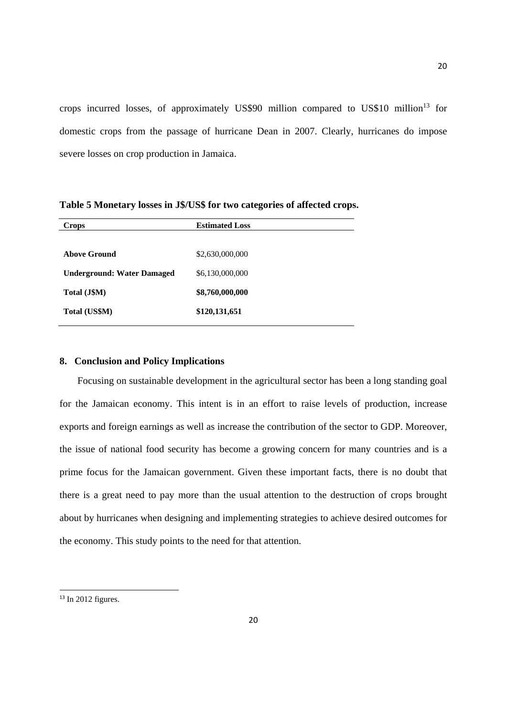crops incurred losses, of approximately US\$90 million compared to US\$10 million<sup>13</sup> for domestic crops from the passage of hurricane Dean in 2007. Clearly, hurricanes do impose severe losses on crop production in Jamaica.

| <b>Crops</b>                      | <b>Estimated Loss</b> |
|-----------------------------------|-----------------------|
|                                   |                       |
| Above Ground                      | \$2,630,000,000       |
| <b>Underground: Water Damaged</b> | \$6,130,000,000       |
| Total (J\$M)                      | \$8,760,000,000       |
| Total (US\$M)                     | \$120,131,651         |

**Table 5 Monetary losses in J\$/US\$ for two categories of affected crops.** 

#### **8. Conclusion and Policy Implications**

 Focusing on sustainable development in the agricultural sector has been a long standing goal for the Jamaican economy. This intent is in an effort to raise levels of production, increase exports and foreign earnings as well as increase the contribution of the sector to GDP. Moreover, the issue of national food security has become a growing concern for many countries and is a prime focus for the Jamaican government. Given these important facts, there is no doubt that there is a great need to pay more than the usual attention to the destruction of crops brought about by hurricanes when designing and implementing strategies to achieve desired outcomes for the economy. This study points to the need for that attention.

 $13$  In 2012 figures.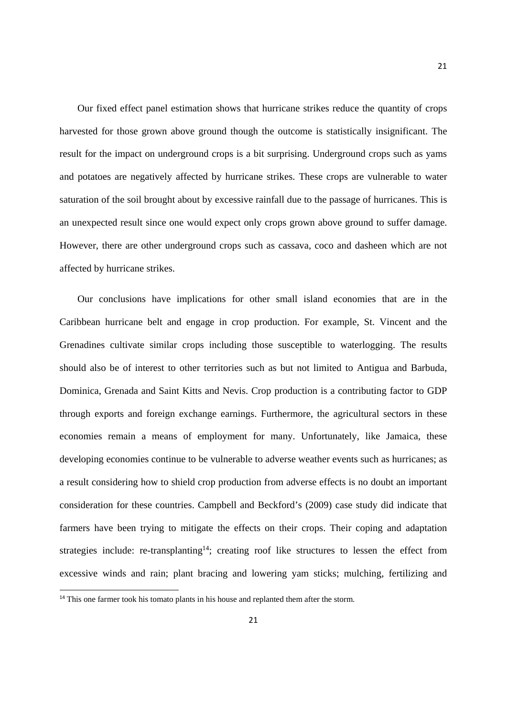Our fixed effect panel estimation shows that hurricane strikes reduce the quantity of crops harvested for those grown above ground though the outcome is statistically insignificant. The result for the impact on underground crops is a bit surprising. Underground crops such as yams and potatoes are negatively affected by hurricane strikes. These crops are vulnerable to water saturation of the soil brought about by excessive rainfall due to the passage of hurricanes. This is an unexpected result since one would expect only crops grown above ground to suffer damage. However, there are other underground crops such as cassava, coco and dasheen which are not affected by hurricane strikes.

 Our conclusions have implications for other small island economies that are in the Caribbean hurricane belt and engage in crop production. For example, St. Vincent and the Grenadines cultivate similar crops including those susceptible to waterlogging. The results should also be of interest to other territories such as but not limited to Antigua and Barbuda, Dominica, Grenada and Saint Kitts and Nevis. Crop production is a contributing factor to GDP through exports and foreign exchange earnings. Furthermore, the agricultural sectors in these economies remain a means of employment for many. Unfortunately, like Jamaica, these developing economies continue to be vulnerable to adverse weather events such as hurricanes; as a result considering how to shield crop production from adverse effects is no doubt an important consideration for these countries. Campbell and Beckford's (2009) case study did indicate that farmers have been trying to mitigate the effects on their crops. Their coping and adaptation strategies include: re-transplanting<sup>14</sup>; creating roof like structures to lessen the effect from excessive winds and rain; plant bracing and lowering yam sticks; mulching, fertilizing and

<sup>&</sup>lt;sup>14</sup> This one farmer took his tomato plants in his house and replanted them after the storm.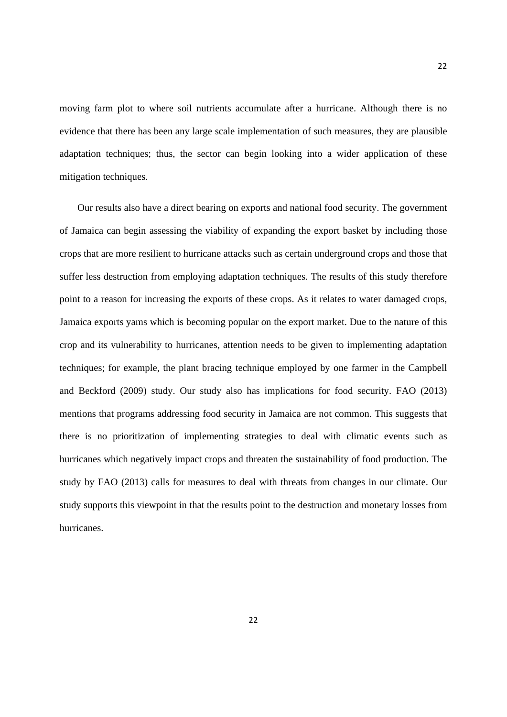moving farm plot to where soil nutrients accumulate after a hurricane. Although there is no evidence that there has been any large scale implementation of such measures, they are plausible adaptation techniques; thus, the sector can begin looking into a wider application of these mitigation techniques.

 Our results also have a direct bearing on exports and national food security. The government of Jamaica can begin assessing the viability of expanding the export basket by including those crops that are more resilient to hurricane attacks such as certain underground crops and those that suffer less destruction from employing adaptation techniques. The results of this study therefore point to a reason for increasing the exports of these crops. As it relates to water damaged crops, Jamaica exports yams which is becoming popular on the export market. Due to the nature of this crop and its vulnerability to hurricanes, attention needs to be given to implementing adaptation techniques; for example, the plant bracing technique employed by one farmer in the Campbell and Beckford (2009) study. Our study also has implications for food security. FAO (2013) mentions that programs addressing food security in Jamaica are not common. This suggests that there is no prioritization of implementing strategies to deal with climatic events such as hurricanes which negatively impact crops and threaten the sustainability of food production. The study by FAO (2013) calls for measures to deal with threats from changes in our climate. Our study supports this viewpoint in that the results point to the destruction and monetary losses from hurricanes.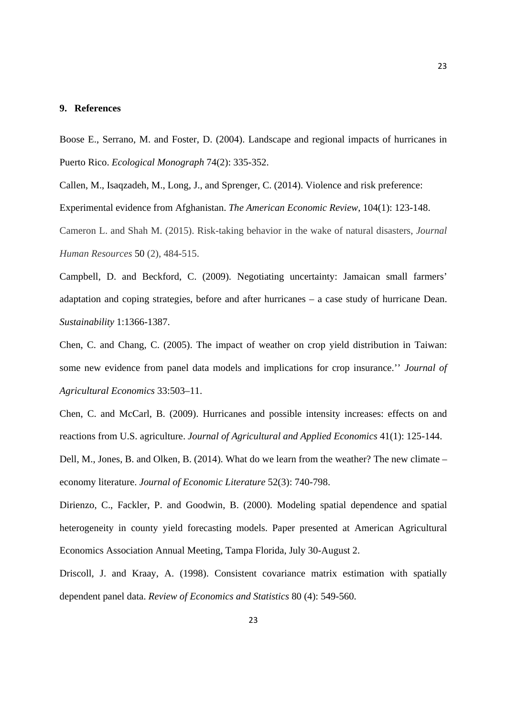#### **9. References**

Boose E., Serrano, M. and Foster, D. (2004). Landscape and regional impacts of hurricanes in Puerto Rico. *Ecological Monograph* 74(2): 335-352.

Callen, M., Isaqzadeh, M., Long, J., and Sprenger, C. (2014). Violence and risk preference: Experimental evidence from Afghanistan. *The American Economic Review*, 104(1): 123-148.

Cameron L. and Shah M. (2015). Risk-taking behavior in the wake of natural disasters, *Journal Human Resources* 50 (2), 484-515.

Campbell, D. and Beckford, C. (2009). Negotiating uncertainty: Jamaican small farmers' adaptation and coping strategies, before and after hurricanes – a case study of hurricane Dean. *Sustainability* 1:1366-1387.

Chen, C. and Chang, C. (2005). The impact of weather on crop yield distribution in Taiwan: some new evidence from panel data models and implications for crop insurance.'' *Journal of Agricultural Economics* 33:503–11.

Chen, C. and McCarl, B. (2009). Hurricanes and possible intensity increases: effects on and reactions from U.S. agriculture. *Journal of Agricultural and Applied Economics* 41(1): 125-144.

Dell, M., Jones, B. and Olken, B. (2014). What do we learn from the weather? The new climate – economy literature. *Journal of Economic Literature* 52(3): 740-798.

Dirienzo, C., Fackler, P. and Goodwin, B. (2000). Modeling spatial dependence and spatial heterogeneity in county yield forecasting models. Paper presented at American Agricultural Economics Association Annual Meeting, Tampa Florida, July 30-August 2.

Driscoll, J. and Kraay, A. (1998). Consistent covariance matrix estimation with spatially dependent panel data. *Review of Economics and Statistics* 80 (4): 549-560.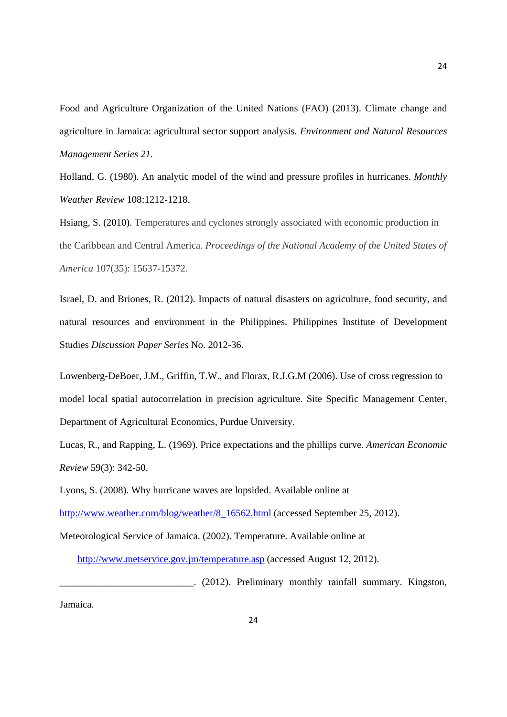Food and Agriculture Organization of the United Nations (FAO) (2013). Climate change and agriculture in Jamaica: agricultural sector support analysis. *Environment and Natural Resources Management Series 21.* 

Holland, G. (1980). An analytic model of the wind and pressure profiles in hurricanes. *Monthly Weather Review* 108:1212-1218.

Hsiang, S. (2010). Temperatures and cyclones strongly associated with economic production in the Caribbean and Central America. *Proceedings of the National Academy of the United States of America* 107(35): 15637-15372.

Israel, D. and Briones, R. (2012). Impacts of natural disasters on agriculture, food security, and natural resources and environment in the Philippines. Philippines Institute of Development Studies *Discussion Paper Series* No. 2012-36.

Lowenberg-DeBoer, J.M., Griffin, T.W., and Florax, R.J.G.M (2006). Use of cross regression to model local spatial autocorrelation in precision agriculture. Site Specific Management Center, Department of Agricultural Economics, Purdue University.

Lucas, R., and Rapping, L. (1969). Price expectations and the phillips curve. *American Economic Review* 59(3): 342-50.

Lyons, S. (2008). Why hurricane waves are lopsided. Available online at

http://www.weather.com/blog/weather/8\_16562.html (accessed September 25, 2012).

Meteorological Service of Jamaica. (2002). Temperature. Available online at

http://www.metservice.gov.jm/temperature.asp (accessed August 12, 2012).

\_\_\_\_\_\_\_\_\_\_\_\_\_\_\_\_\_\_\_\_\_\_\_\_\_\_\_. (2012). Preliminary monthly rainfall summary. Kingston,

Jamaica.